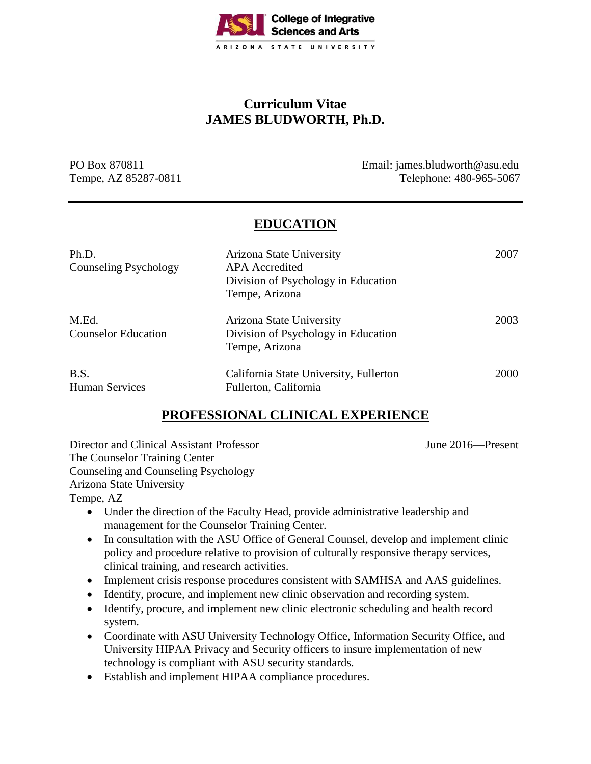

# **Curriculum Vitae JAMES BLUDWORTH, Ph.D.**

PO Box 870811 Email: james.bludworth@asu.edu Tempe, AZ 85287-0811 Telephone: 480-965-5067

## **EDUCATION**

| Ph.D.<br><b>Counseling Psychology</b> | Arizona State University<br><b>APA</b> Accredited<br>Division of Psychology in Education<br>Tempe, Arizona | 2007 |
|---------------------------------------|------------------------------------------------------------------------------------------------------------|------|
| M.Ed.<br><b>Counselor Education</b>   | Arizona State University<br>Division of Psychology in Education<br>Tempe, Arizona                          | 2003 |
| B.S.<br><b>Human Services</b>         | California State University, Fullerton<br>Fullerton, California                                            | 2000 |

# **PROFESSIONAL CLINICAL EXPERIENCE**

Director and Clinical Assistant Professor June 2016—Present The Counselor Training Center Counseling and Counseling Psychology Arizona State University Tempe, AZ

- Under the direction of the Faculty Head, provide administrative leadership and management for the Counselor Training Center.
- In consultation with the ASU Office of General Counsel, develop and implement clinic policy and procedure relative to provision of culturally responsive therapy services, clinical training, and research activities.
- Implement crisis response procedures consistent with SAMHSA and AAS guidelines.
- Identify, procure, and implement new clinic observation and recording system.
- Identify, procure, and implement new clinic electronic scheduling and health record system.
- Coordinate with ASU University Technology Office, Information Security Office, and University HIPAA Privacy and Security officers to insure implementation of new technology is compliant with ASU security standards.
- Establish and implement HIPAA compliance procedures.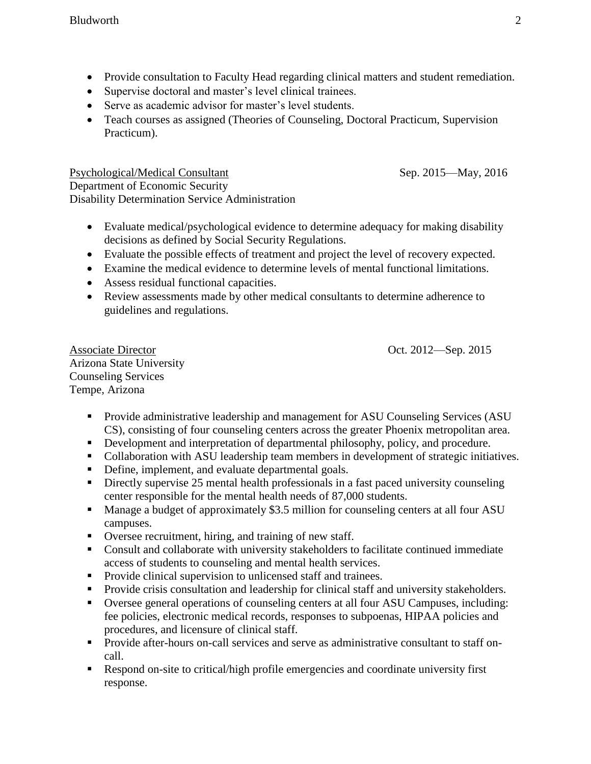- Provide consultation to Faculty Head regarding clinical matters and student remediation.
- Supervise doctoral and master's level clinical trainees.
- Serve as academic advisor for master's level students.
- Teach courses as assigned (Theories of Counseling, Doctoral Practicum, Supervision Practicum).

Psychological/Medical Consultant Sep. 2015—May, 2016 Department of Economic Security Disability Determination Service Administration

- Evaluate medical/psychological evidence to determine adequacy for making disability decisions as defined by Social Security Regulations.
- Evaluate the possible effects of treatment and project the level of recovery expected.
- Examine the medical evidence to determine levels of mental functional limitations.
- Assess residual functional capacities.
- Review assessments made by other medical consultants to determine adherence to guidelines and regulations.

Associate Director Oct. 2012—Sep. 2015 Arizona State University Counseling Services Tempe, Arizona

- Provide administrative leadership and management for ASU Counseling Services (ASU CS), consisting of four counseling centers across the greater Phoenix metropolitan area.
- Development and interpretation of departmental philosophy, policy, and procedure.
- Collaboration with ASU leadership team members in development of strategic initiatives.
- Define, implement, and evaluate departmental goals.
- Directly supervise 25 mental health professionals in a fast paced university counseling center responsible for the mental health needs of 87,000 students.
- Manage a budget of approximately \$3.5 million for counseling centers at all four ASU campuses.
- Oversee recruitment, hiring, and training of new staff.
- Consult and collaborate with university stakeholders to facilitate continued immediate access of students to counseling and mental health services.
- **Provide clinical supervision to unlicensed staff and trainees.**
- **Provide crisis consultation and leadership for clinical staff and university stakeholders.**
- Oversee general operations of counseling centers at all four ASU Campuses, including: fee policies, electronic medical records, responses to subpoenas, HIPAA policies and procedures, and licensure of clinical staff.
- **Provide after-hours on-call services and serve as administrative consultant to staff on**call.
- Respond on-site to critical/high profile emergencies and coordinate university first response.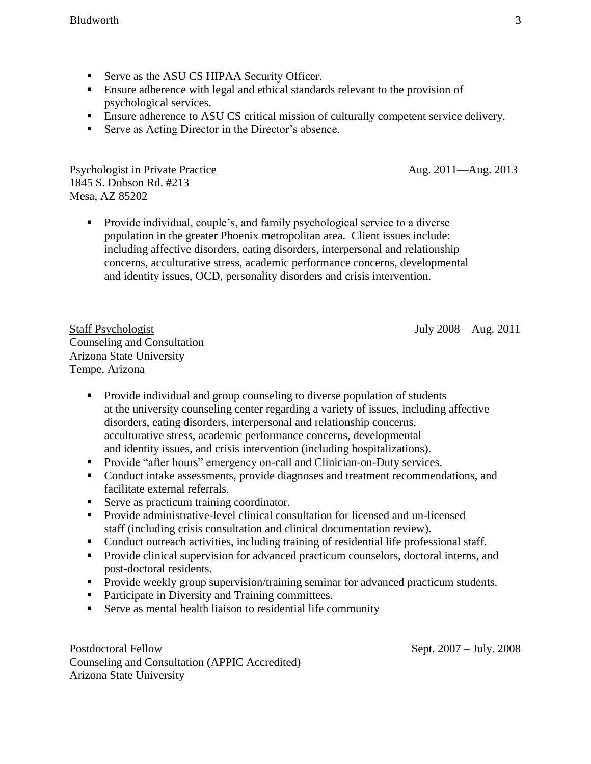- Serve as the ASU CS HIPAA Security Officer.
- **Ensure adherence with legal and ethical standards relevant to the provision of** psychological services.
- **Ensure adherence to ASU CS critical mission of culturally competent service delivery.**
- Serve as Acting Director in the Director's absence.

Psychologist in Private Practice Aug. 2011—Aug. 2013 1845 S. Dobson Rd. #213 Mesa, AZ 85202

**Provide individual, couple's, and family psychological service to a diverse** population in the greater Phoenix metropolitan area. Client issues include: including affective disorders, eating disorders, interpersonal and relationship concerns, acculturative stress, academic performance concerns, developmental and identity issues, OCD, personality disorders and crisis intervention.

Staff Psychologist July 2008 – Aug. 2011 Counseling and Consultation Arizona State University Tempe, Arizona

- **Provide individual and group counseling to diverse population of students** at the university counseling center regarding a variety of issues, including affective disorders, eating disorders, interpersonal and relationship concerns, acculturative stress, academic performance concerns, developmental and identity issues, and crisis intervention (including hospitalizations).
- Provide "after hours" emergency on-call and Clinician-on-Duty services.
- Conduct intake assessments, provide diagnoses and treatment recommendations, and facilitate external referrals.
- Serve as practicum training coordinator.
- Provide administrative-level clinical consultation for licensed and un-licensed staff (including crisis consultation and clinical documentation review).
- Conduct outreach activities, including training of residential life professional staff.
- **Provide clinical supervision for advanced practicum counselors, doctoral interns, and** post-doctoral residents.
- **Provide weekly group supervision/training seminar for advanced practicum students.**
- Participate in Diversity and Training committees.
- Serve as mental health liaison to residential life community

Postdoctoral Fellow Sept. 2007 – July. 2008 Counseling and Consultation (APPIC Accredited) Arizona State University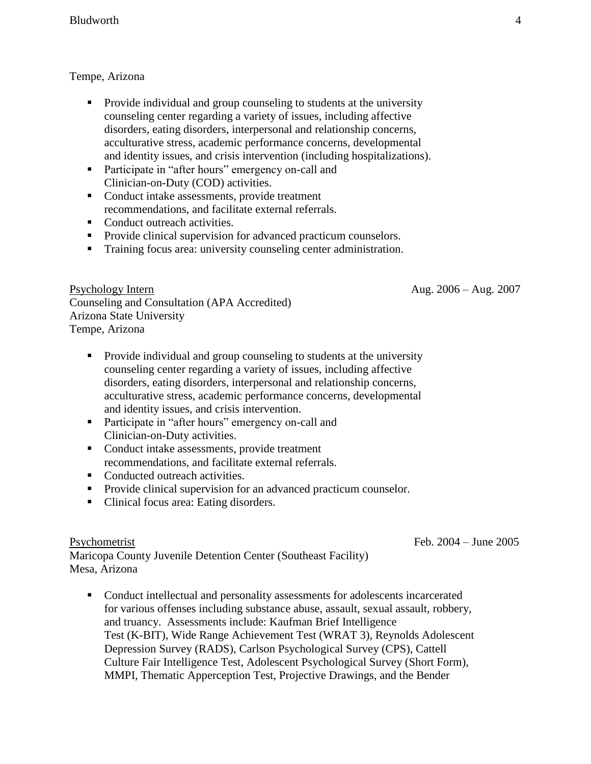### Tempe, Arizona

- Provide individual and group counseling to students at the university counseling center regarding a variety of issues, including affective disorders, eating disorders, interpersonal and relationship concerns, acculturative stress, academic performance concerns, developmental and identity issues, and crisis intervention (including hospitalizations).
- **Participate in "after hours" emergency on-call and** Clinician-on-Duty (COD) activities.
- Conduct intake assessments, provide treatment recommendations, and facilitate external referrals.
- Conduct outreach activities.
- Provide clinical supervision for advanced practicum counselors.
- Training focus area: university counseling center administration.

Psychology Intern Aug. 2006 – Aug. 2007 Counseling and Consultation (APA Accredited) Arizona State University Tempe, Arizona

- Provide individual and group counseling to students at the university counseling center regarding a variety of issues, including affective disorders, eating disorders, interpersonal and relationship concerns, acculturative stress, academic performance concerns, developmental and identity issues, and crisis intervention.
- **Participate in "after hours" emergency on-call and** Clinician-on-Duty activities.
- Conduct intake assessments, provide treatment recommendations, and facilitate external referrals.
- Conducted outreach activities.
- Provide clinical supervision for an advanced practicum counselor.
- Clinical focus area: Eating disorders.

Maricopa County Juvenile Detention Center (Southeast Facility) Mesa, Arizona

 Conduct intellectual and personality assessments for adolescents incarcerated for various offenses including substance abuse, assault, sexual assault, robbery, and truancy. Assessments include: Kaufman Brief Intelligence Test (K-BIT), Wide Range Achievement Test (WRAT 3), Reynolds Adolescent Depression Survey (RADS), Carlson Psychological Survey (CPS), Cattell Culture Fair Intelligence Test, Adolescent Psychological Survey (Short Form), MMPI, Thematic Apperception Test, Projective Drawings, and the Bender

Psychometrist Feb. 2004 – June 2005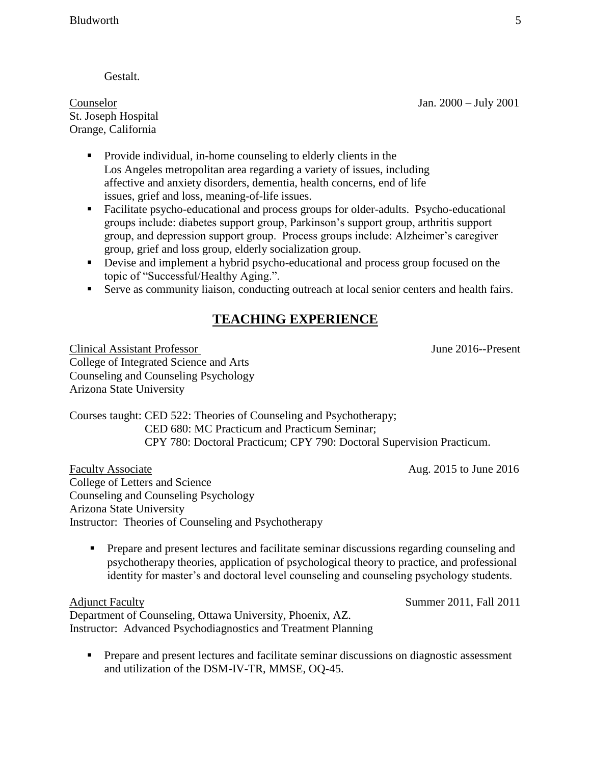Gestalt.

Counselor Jan. 2000 – July 2001 St. Joseph Hospital Orange, California

- **Provide individual, in-home counseling to elderly clients in the** Los Angeles metropolitan area regarding a variety of issues, including affective and anxiety disorders, dementia, health concerns, end of life issues, grief and loss, meaning-of-life issues.
- Facilitate psycho-educational and process groups for older-adults. Psycho-educational groups include: diabetes support group, Parkinson's support group, arthritis support group, and depression support group. Process groups include: Alzheimer's caregiver group, grief and loss group, elderly socialization group.
- Devise and implement a hybrid psycho-educational and process group focused on the topic of "Successful/Healthy Aging.".
- Serve as community liaison, conducting outreach at local senior centers and health fairs.

# **TEACHING EXPERIENCE**

Clinical Assistant Professor June 2016--Present College of Integrated Science and Arts Counseling and Counseling Psychology Arizona State University

Courses taught: CED 522: Theories of Counseling and Psychotherapy; CED 680: MC Practicum and Practicum Seminar; CPY 780: Doctoral Practicum; CPY 790: Doctoral Supervision Practicum.

Faculty Associate Aug. 2015 to June 2016 College of Letters and Science Counseling and Counseling Psychology Arizona State University Instructor: Theories of Counseling and Psychotherapy

 Prepare and present lectures and facilitate seminar discussions regarding counseling and psychotherapy theories, application of psychological theory to practice, and professional identity for master's and doctoral level counseling and counseling psychology students.

Adjunct Faculty Summer 2011, Fall 2011 Department of Counseling, Ottawa University, Phoenix, AZ. Instructor: Advanced Psychodiagnostics and Treatment Planning

 Prepare and present lectures and facilitate seminar discussions on diagnostic assessment and utilization of the DSM-IV-TR, MMSE, OQ-45.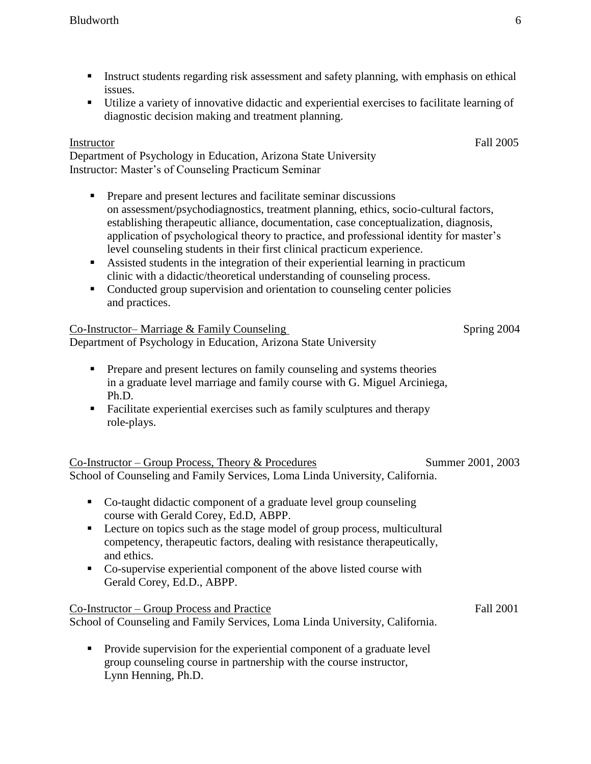- Instruct students regarding risk assessment and safety planning, with emphasis on ethical issues.
- Utilize a variety of innovative didactic and experiential exercises to facilitate learning of diagnostic decision making and treatment planning.

## Instructor Fall 2005

Department of Psychology in Education, Arizona State University Instructor: Master's of Counseling Practicum Seminar

- **Prepare and present lectures and facilitate seminar discussions** on assessment/psychodiagnostics, treatment planning, ethics, socio-cultural factors, establishing therapeutic alliance, documentation, case conceptualization, diagnosis, application of psychological theory to practice, and professional identity for master's level counseling students in their first clinical practicum experience.
- Assisted students in the integration of their experiential learning in practicum clinic with a didactic/theoretical understanding of counseling process.
- Conducted group supervision and orientation to counseling center policies and practices.

| Co-Instructor– Marriage & Family Counseling                     | Spring 2004 |
|-----------------------------------------------------------------|-------------|
| Department of Psychology in Education, Arizona State University |             |
|                                                                 |             |

- **Prepare and present lectures on family counseling and systems theories**  in a graduate level marriage and family course with G. Miguel Arciniega, Ph.D.
- Facilitate experiential exercises such as family sculptures and therapy role-plays.

| Co-Instructor – Group Process, Theory & Procedures                           | Summer 2001, 2003 |  |
|------------------------------------------------------------------------------|-------------------|--|
| School of Counseling and Family Services, Loma Linda University, California. |                   |  |

- Co-taught didactic component of a graduate level group counseling course with Gerald Corey, Ed.D, ABPP.
- Lecture on topics such as the stage model of group process, multicultural competency, therapeutic factors, dealing with resistance therapeutically, and ethics.
- Co-supervise experiential component of the above listed course with Gerald Corey, Ed.D., ABPP.

Co-Instructor – Group Process and Practice Fall 2001 School of Counseling and Family Services, Loma Linda University, California.

• Provide supervision for the experiential component of a graduate level group counseling course in partnership with the course instructor, Lynn Henning, Ph.D.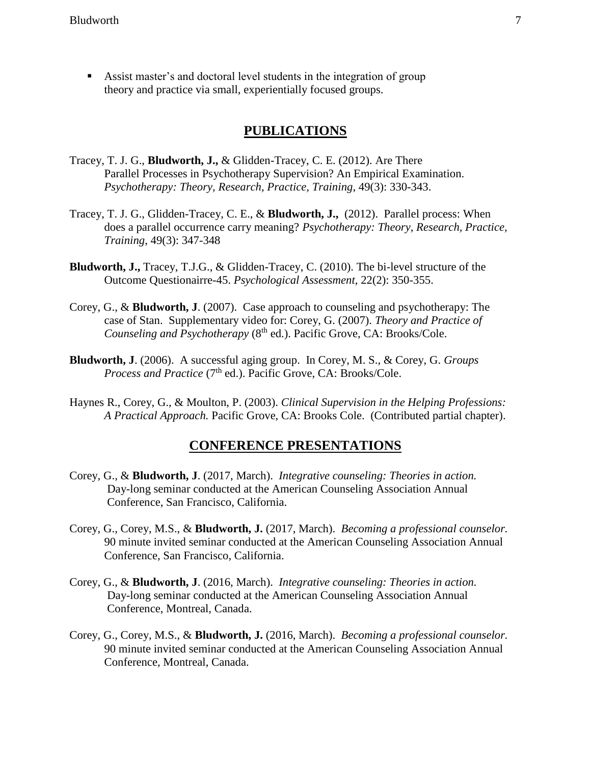Assist master's and doctoral level students in the integration of group theory and practice via small, experientially focused groups.

## **PUBLICATIONS**

- Tracey, T. J. G., **Bludworth, J.,** & Glidden-Tracey, C. E. (2012). Are There Parallel Processes in Psychotherapy Supervision? An Empirical Examination. *Psychotherapy: Theory, Research, Practice, Training*, 49(3): 330-343.
- Tracey, T. J. G., Glidden-Tracey, C. E., & **Bludworth, J.,** (2012). Parallel process: When does a parallel occurrence carry meaning? *Psychotherapy: Theory, Research, Practice, Training*, 49(3): 347-348
- **Bludworth, J.,** Tracey, T.J.G., & Glidden-Tracey, C. (2010). The bi-level structure of the Outcome Questionairre-45. *Psychological Assessment,* 22(2): 350-355.
- Corey, G., & **Bludworth, J**. (2007). Case approach to counseling and psychotherapy: The case of Stan. Supplementary video for: Corey, G. (2007). *Theory and Practice of Counseling and Psychotherapy (8<sup>th</sup> ed.). Pacific Grove, CA: Brooks/Cole.*
- **Bludworth, J**. (2006). A successful aging group. In Corey, M. S., & Corey, G. *Groups Process and Practice* (7<sup>th</sup> ed.). Pacific Grove, CA: Brooks/Cole.
- Haynes R., Corey, G., & Moulton, P. (2003). *Clinical Supervision in the Helping Professions: A Practical Approach.* Pacific Grove, CA: Brooks Cole. (Contributed partial chapter).

## **CONFERENCE PRESENTATIONS**

- Corey, G., & **Bludworth, J**. (2017, March). *Integrative counseling: Theories in action.* Day-long seminar conducted at the American Counseling Association Annual Conference, San Francisco, California.
- Corey, G., Corey, M.S., & **Bludworth, J.** (2017, March). *Becoming a professional counselor.*  90 minute invited seminar conducted at the American Counseling Association Annual Conference, San Francisco, California.
- Corey, G., & **Bludworth, J**. (2016, March). *Integrative counseling: Theories in action.* Day-long seminar conducted at the American Counseling Association Annual Conference, Montreal, Canada.
- Corey, G., Corey, M.S., & **Bludworth, J.** (2016, March). *Becoming a professional counselor.*  90 minute invited seminar conducted at the American Counseling Association Annual Conference, Montreal, Canada.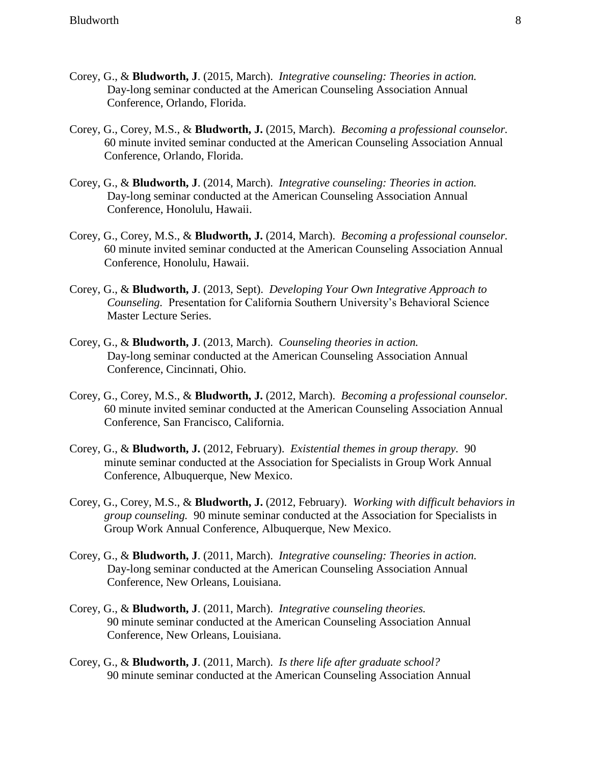- Corey, G., & **Bludworth, J**. (2015, March). *Integrative counseling: Theories in action.* Day-long seminar conducted at the American Counseling Association Annual Conference, Orlando, Florida.
- Corey, G., Corey, M.S., & **Bludworth, J.** (2015, March). *Becoming a professional counselor.*  60 minute invited seminar conducted at the American Counseling Association Annual Conference, Orlando, Florida.
- Corey, G., & **Bludworth, J**. (2014, March). *Integrative counseling: Theories in action.* Day-long seminar conducted at the American Counseling Association Annual Conference, Honolulu, Hawaii.
- Corey, G., Corey, M.S., & **Bludworth, J.** (2014, March). *Becoming a professional counselor.*  60 minute invited seminar conducted at the American Counseling Association Annual Conference, Honolulu, Hawaii.
- Corey, G., & **Bludworth, J**. (2013, Sept). *Developing Your Own Integrative Approach to Counseling.* Presentation for California Southern University's Behavioral Science Master Lecture Series.
- Corey, G., & **Bludworth, J**. (2013, March). *Counseling theories in action.* Day-long seminar conducted at the American Counseling Association Annual Conference, Cincinnati, Ohio.
- Corey, G., Corey, M.S., & **Bludworth, J.** (2012, March). *Becoming a professional counselor.*  60 minute invited seminar conducted at the American Counseling Association Annual Conference, San Francisco, California.
- Corey, G., & **Bludworth, J.** (2012, February). *Existential themes in group therapy.* 90 minute seminar conducted at the Association for Specialists in Group Work Annual Conference, Albuquerque, New Mexico.
- Corey, G., Corey, M.S., & **Bludworth, J.** (2012, February). *Working with difficult behaviors in group counseling.* 90 minute seminar conducted at the Association for Specialists in Group Work Annual Conference, Albuquerque, New Mexico.
- Corey, G., & **Bludworth, J**. (2011, March). *Integrative counseling: Theories in action.* Day-long seminar conducted at the American Counseling Association Annual Conference, New Orleans, Louisiana.
- Corey, G., & **Bludworth, J**. (2011, March). *Integrative counseling theories.* 90 minute seminar conducted at the American Counseling Association Annual Conference, New Orleans, Louisiana.
- Corey, G., & **Bludworth, J**. (2011, March). *Is there life after graduate school?* 90 minute seminar conducted at the American Counseling Association Annual